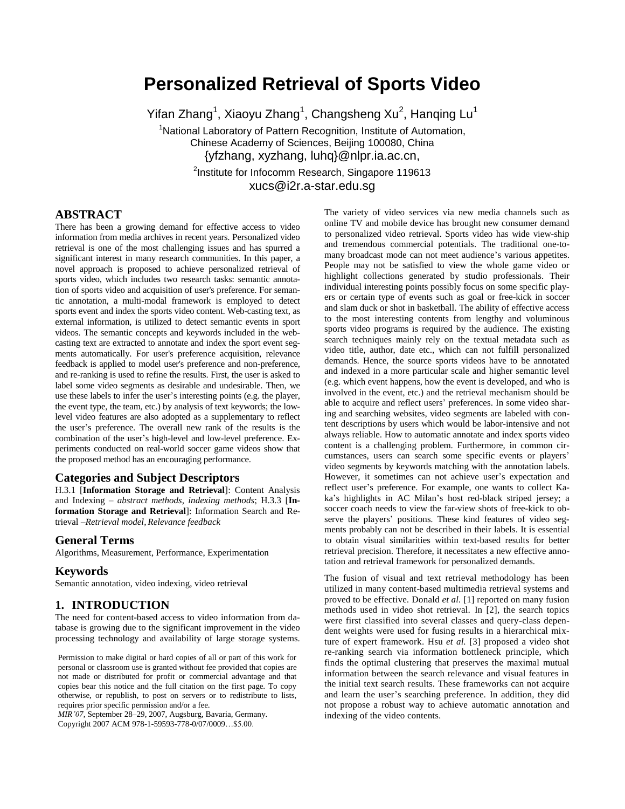# **Personalized Retrieval of Sports Video**

Yifan Zhang<sup>1</sup>, Xiaoyu Zhang<sup>1</sup>, Changsheng Xu<sup>2</sup>, Hanqing Lu<sup>1</sup> <sup>1</sup>National Laboratory of Pattern Recognition, Institute of Automation, Chinese Academy of Sciences, Beijing 100080, China {yfzhang, xyzhang, luhq}@nlpr.ia.ac.cn, <sup>2</sup>Institute for Infocomm Research, Singapore 119613 xucs@i2r.a-star.edu.sg

# **ABSTRACT**

There has been a growing demand for effective access to video information from media archives in recent years. Personalized video retrieval is one of the most challenging issues and has spurred a significant interest in many research communities. In this paper, a novel approach is proposed to achieve personalized retrieval of sports video, which includes two research tasks: semantic annotation of sports video and acquisition of user's preference. For semantic annotation, a multi-modal framework is employed to detect sports event and index the sports video content. Web-casting text, as external information, is utilized to detect semantic events in sport videos. The semantic concepts and keywords included in the webcasting text are extracted to annotate and index the sport event segments automatically. For user's preference acquisition, relevance feedback is applied to model user's preference and non-preference, and re-ranking is used to refine the results. First, the user is asked to label some video segments as desirable and undesirable. Then, we use these labels to infer the user's interesting points (e.g. the player, the event type, the team, etc.) by analysis of text keywords; the lowlevel video features are also adopted as a supplementary to reflect the user's preference. The overall new rank of the results is the combination of the user's high-level and low-level preference. Experiments conducted on real-world soccer game videos show that the proposed method has an encouraging performance.

# **Categories and Subject Descriptors**

H.3.1 [**Information Storage and Retrieval**]: Content Analysis and Indexing – *abstract methods, indexing methods*; H.3.3 [**Information Storage and Retrieval**]: Information Search and Retrieval –*Retrieval model, Relevance feedback*

#### **General Terms**

Algorithms, Measurement, Performance, Experimentation

#### **Keywords**

Semantic annotation, video indexing, video retrieval

### **1. INTRODUCTION**

The need for content-based access to video information from database is growing due to the significant improvement in the video processing technology and availability of large storage systems.

Permission to make digital or hard copies of all or part of this work for personal or classroom use is granted without fee provided that copies are not made or distributed for profit or commercial advantage and that copies bear this notice and the full citation on the first page. To copy otherwise, or republish, to post on servers or to redistribute to lists, requires prior specific permission and/or a fee.

*MIR'07*, September 28–29, 2007, Augsburg, Bavaria, Germany. Copyright 2007 ACM 978-1-59593-778-0/07/0009…\$5.00.

The variety of video services via new media channels such as online TV and mobile device has brought new consumer demand to personalized video retrieval. Sports video has wide view-ship and tremendous commercial potentials. The traditional one-tomany broadcast mode can not meet audience's various appetites. People may not be satisfied to view the whole game video or highlight collections generated by studio professionals. Their individual interesting points possibly focus on some specific players or certain type of events such as goal or free-kick in soccer and slam duck or shot in basketball. The ability of effective access to the most interesting contents from lengthy and voluminous sports video programs is required by the audience. The existing search techniques mainly rely on the textual metadata such as video title, author, date etc., which can not fulfill personalized demands. Hence, the source sports videos have to be annotated and indexed in a more particular scale and higher semantic level (e.g. which event happens, how the event is developed, and who is involved in the event, etc.) and the retrieval mechanism should be able to acquire and reflect users' preferences. In some video sharing and searching websites, video segments are labeled with content descriptions by users which would be labor-intensive and not always reliable. How to automatic annotate and index sports video content is a challenging problem. Furthermore, in common circumstances, users can search some specific events or players' video segments by keywords matching with the annotation labels. However, it sometimes can not achieve user's expectation and reflect user's preference. For example, one wants to collect Kaka's highlights in AC Milan's host red-black striped jersey; a soccer coach needs to view the far-view shots of free-kick to observe the players' positions. These kind features of video segments probably can not be described in their labels. It is essential to obtain visual similarities within text-based results for better retrieval precision. Therefore, it necessitates a new effective annotation and retrieval framework for personalized demands.

The fusion of visual and text retrieval methodology has been utilized in many content-based multimedia retrieval systems and proved to be effective. Donald *et al.* [1] reported on many fusion methods used in video shot retrieval. In [2], the search topics were first classified into several classes and query-class dependent weights were used for fusing results in a hierarchical mixture of expert framework. Hsu *et al.* [3] proposed a video shot re-ranking search via information bottleneck principle, which finds the optimal clustering that preserves the maximal mutual information between the search relevance and visual features in the initial text search results. These frameworks can not acquire and learn the user's searching preference. In addition, they did not propose a robust way to achieve automatic annotation and indexing of the video contents.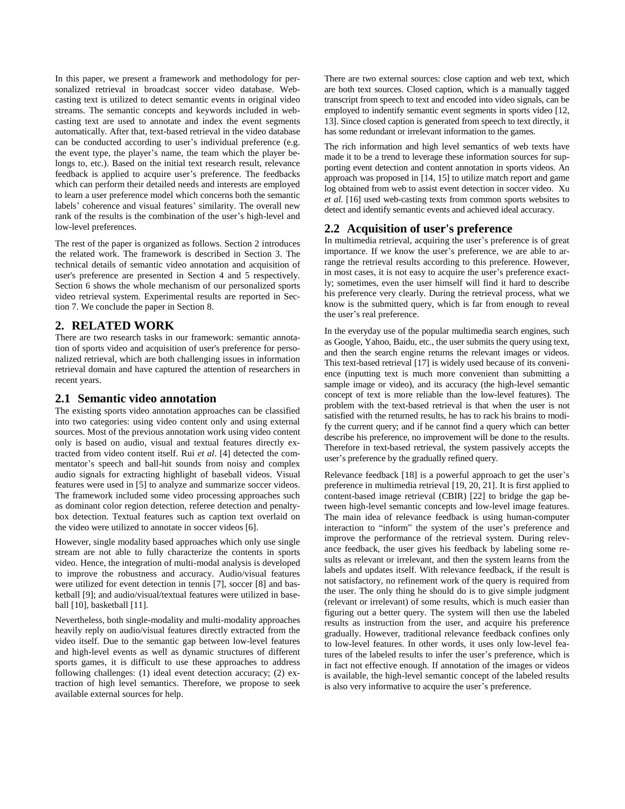In this paper, we present a framework and methodology for personalized retrieval in broadcast soccer video database. Webcasting text is utilized to detect semantic events in original video streams. The semantic concepts and keywords included in webcasting text are used to annotate and index the event segments automatically. After that, text-based retrieval in the video database can be conducted according to user's individual preference (e.g. the event type, the player's name, the team which the player belongs to, etc.). Based on the initial text research result, relevance feedback is applied to acquire user's preference. The feedbacks which can perform their detailed needs and interests are employed to learn a user preference model which concerns both the semantic labels' coherence and visual features' similarity. The overall new rank of the results is the combination of the user's high-level and low-level preferences.

The rest of the paper is organized as follows. Section 2 introduces the related work. The framework is described in Section 3. The technical details of semantic video annotation and acquisition of user's preference are presented in Section 4 and 5 respectively. Section 6 shows the whole mechanism of our personalized sports video retrieval system. Experimental results are reported in Section 7. We conclude the paper in Section 8.

# **2. RELATED WORK**

There are two research tasks in our framework: semantic annotation of sports video and acquisition of user's preference for personalized retrieval, which are both challenging issues in information retrieval domain and have captured the attention of researchers in recent years.

## **2.1 Semantic video annotation**

The existing sports video annotation approaches can be classified into two categories: using video content only and using external sources. Most of the previous annotation work using video content only is based on audio, visual and textual features directly extracted from video content itself. Rui *et al*. [4] detected the commentator's speech and ball-hit sounds from noisy and complex audio signals for extracting highlight of baseball videos. Visual features were used in [5] to analyze and summarize soccer videos. The framework included some video processing approaches such as dominant color region detection, referee detection and penaltybox detection. Textual features such as caption text overlaid on the video were utilized to annotate in soccer videos [6].

However, single modality based approaches which only use single stream are not able to fully characterize the contents in sports video. Hence, the integration of multi-modal analysis is developed to improve the robustness and accuracy. Audio/visual features were utilized for event detection in tennis [7], soccer [8] and basketball [9]; and audio/visual/textual features were utilized in baseball [10], basketball [11].

Nevertheless, both single-modality and multi-modality approaches heavily reply on audio/visual features directly extracted from the video itself. Due to the semantic gap between low-level features and high-level events as well as dynamic structures of different sports games, it is difficult to use these approaches to address following challenges: (1) ideal event detection accuracy; (2) extraction of high level semantics. Therefore, we propose to seek available external sources for help.

There are two external sources: close caption and web text, which are both text sources. Closed caption, which is a manually tagged transcript from speech to text and encoded into video signals, can be employed to indentify semantic event segments in sports video [12, 13]. Since closed caption is generated from speech to text directly, it has some redundant or irrelevant information to the games.

The rich information and high level semantics of web texts have made it to be a trend to leverage these information sources for supporting event detection and content annotation in sports videos. An approach was proposed in [14, 15] to utilize match report and game log obtained from web to assist event detection in soccer video. Xu *et al*. [16] used web-casting texts from common sports websites to detect and identify semantic events and achieved ideal accuracy.

# **2.2 Acquisition of user's preference**

In multimedia retrieval, acquiring the user's preference is of great importance. If we know the user's preference, we are able to arrange the retrieval results according to this preference. However, in most cases, it is not easy to acquire the user's preference exactly; sometimes, even the user himself will find it hard to describe his preference very clearly. During the retrieval process, what we know is the submitted query, which is far from enough to reveal the user's real preference.

In the everyday use of the popular multimedia search engines, such as Google, Yahoo, Baidu, etc., the user submits the query using text, and then the search engine returns the relevant images or videos. This text-based retrieval [17] is widely used because of its convenience (inputting text is much more convenient than submitting a sample image or video), and its accuracy (the high-level semantic concept of text is more reliable than the low-level features). The problem with the text-based retrieval is that when the user is not satisfied with the returned results, he has to rack his brains to modify the current query; and if he cannot find a query which can better describe his preference, no improvement will be done to the results. Therefore in text-based retrieval, the system passively accepts the user's preference by the gradually refined query.

Relevance feedback [18] is a powerful approach to get the user's preference in multimedia retrieval [19, 20, 21]. It is first applied to content-based image retrieval (CBIR) [22] to bridge the gap between high-level semantic concepts and low-level image features. The main idea of relevance feedback is using human-computer interaction to "inform" the system of the user's preference and improve the performance of the retrieval system. During relevance feedback, the user gives his feedback by labeling some results as relevant or irrelevant, and then the system learns from the labels and updates itself. With relevance feedback, if the result is not satisfactory, no refinement work of the query is required from the user. The only thing he should do is to give simple judgment (relevant or irrelevant) of some results, which is much easier than figuring out a better query. The system will then use the labeled results as instruction from the user, and acquire his preference gradually. However, traditional relevance feedback confines only to low-level features. In other words, it uses only low-level features of the labeled results to infer the user's preference, which is in fact not effective enough. If annotation of the images or videos is available, the high-level semantic concept of the labeled results is also very informative to acquire the user's preference.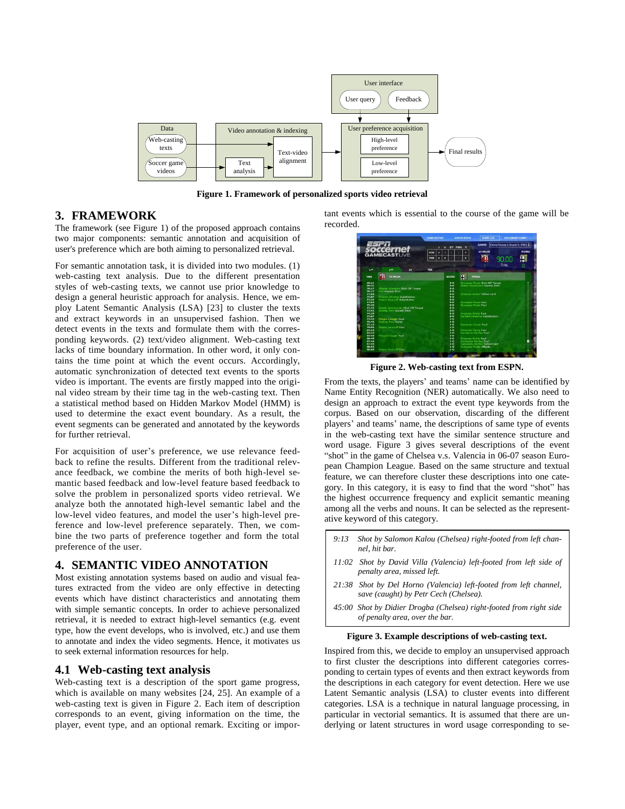

**Figure 1. Framework of personalized sports video retrieval**

# **3. FRAMEWORK**

The framework (see Figure 1) of the proposed approach contains two major components: semantic annotation and acquisition of user's preference which are both aiming to personalized retrieval.

For semantic annotation task, it is divided into two modules. (1) web-casting text analysis. Due to the different presentation styles of web-casting texts, we cannot use prior knowledge to design a general heuristic approach for analysis. Hence, we employ Latent Semantic Analysis (LSA) [23] to cluster the texts and extract keywords in an unsupervised fashion. Then we detect events in the texts and formulate them with the corresponding keywords. (2) text/video alignment. Web-casting text lacks of time boundary information. In other word, it only contains the time point at which the event occurs. Accordingly, automatic synchronization of detected text events to the sports video is important. The events are firstly mapped into the original video stream by their time tag in the web-casting text. Then a statistical method based on Hidden Markov Model (HMM) is used to determine the exact event boundary. As a result, the event segments can be generated and annotated by the keywords for further retrieval.

For acquisition of user's preference, we use relevance feedback to refine the results. Different from the traditional relevance feedback, we combine the merits of both high-level semantic based feedback and low-level feature based feedback to solve the problem in personalized sports video retrieval. We analyze both the annotated high-level semantic label and the low-level video features, and model the user's high-level preference and low-level preference separately. Then, we combine the two parts of preference together and form the total preference of the user.

# **4. SEMANTIC VIDEO ANNOTATION**

Most existing annotation systems based on audio and visual features extracted from the video are only effective in detecting events which have distinct characteristics and annotating them with simple semantic concepts. In order to achieve personalized retrieval, it is needed to extract high-level semantics (e.g. event type, how the event develops, who is involved, etc.) and use them to annotate and index the video segments. Hence, it motivates us to seek external information resources for help.

### **4.1 Web-casting text analysis**

Web-casting text is a description of the sport game progress, which is available on many websites [24, 25]. An example of a web-casting text is given in Figure 2. Each item of description corresponds to an event, giving information on the time, the player, event type, and an optional remark. Exciting or important events which is essential to the course of the game will be recorded.



**Figure 2. Web-casting text from ESPN.**

From the texts, the players' and teams' name can be identified by Name Entity Recognition (NER) automatically. We also need to design an approach to extract the event type keywords from the corpus. Based on our observation, discarding of the different players' and teams' name, the descriptions of same type of events in the web-casting text have the similar sentence structure and word usage. Figure 3 gives several descriptions of the event "shot" in the game of Chelsea v.s. Valencia in 06-07 season European Champion League. Based on the same structure and textual feature, we can therefore cluster these descriptions into one category. In this category, it is easy to find that the word "shot" has the highest occurrence frequency and explicit semantic meaning among all the verbs and nouns. It can be selected as the representative keyword of this category.

- *9:13 Shot by Salomon Kalou (Chelsea) right-footed from left channel, hit bar.*
- *11:02 Shot by David Villa (Valencia) left-footed from left side of penalty area, missed left.*
- *21:38 Shot by Del Horno (Valencia) left-footed from left channel, save (caught) by Petr Cech (Chelsea).*
- *45:00 Shot by Didier Drogba (Chelsea) right-footed from right side of penalty area, over the bar.*

#### **Figure 3. Example descriptions of web-casting text.**

Inspired from this, we decide to employ an unsupervised approach to first cluster the descriptions into different categories corresponding to certain types of events and then extract keywords from the descriptions in each category for event detection. Here we use Latent Semantic analysis (LSA) to cluster events into different categories. LSA is a technique in natural language processing, in particular in vectorial semantics. It is assumed that there are underlying or latent structures in word usage corresponding to se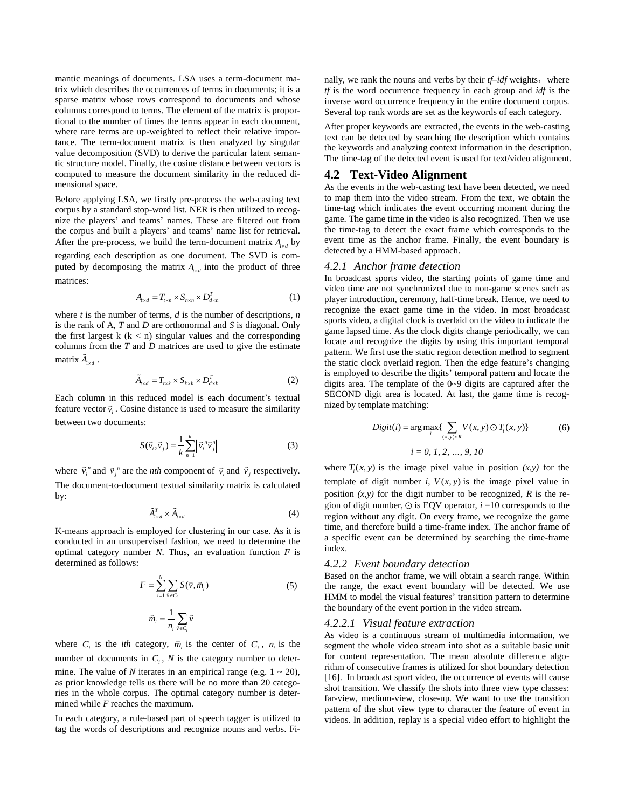mantic meanings of documents. LSA uses a term-document matrix which describes the occurrences of terms in documents; it is a sparse matrix whose rows correspond to documents and whose columns correspond to terms. The element of the matrix is proportional to the number of times the terms appear in each document, where rare terms are up-weighted to reflect their relative importance. The term-document matrix is then analyzed by singular value decomposition (SVD) to derive the particular latent semantic structure model. Finally, the cosine distance between vectors is computed to measure the document similarity in the reduced dimensional space.

Before applying LSA, we firstly pre-process the web-casting text corpus by a standard stop-word list. NER is then utilized to recognize the players' and teams' names. These are filtered out from the corpus and built a players' and teams' name list for retrieval. After the pre-process, we build the term-document matrix  $A_{r \times d}$  by regarding each description as one document. The SVD is computed by decomposing the matrix  $A_{r \times d}$  into the product of three matrices:

$$
A_{r \times d} = T_{r \times n} \times S_{n \times n} \times D_{d \times n}^{T}
$$
 (1)

where *t* is the number of terms, *d* is the number of descriptions, *n* is the rank of A, *T* and *D* are orthonormal and *S* is diagonal. Only the first largest  $k$  ( $k < n$ ) singular values and the corresponding columns from the *T* and *D* matrices are used to give the estimate matrix  $\tilde{A}_{t \times d}$ .

$$
\tilde{A}_{r \times d} = T_{r \times k} \times S_{k \times k} \times D_{d \times k}^{T}
$$
 (2)

Each column in this reduced model is each document's textual Each column in this reduced model is each document's textual feature vector  $\vec{v}_i$ . Cosine distance is used to measure the similarity between two documents:

$$
S(\vec{v}_i, \vec{v}_j) = \frac{1}{k} \sum_{n=1}^k \left\| \vec{v}_i^{\,n} \vec{v}_j^{\,n} \right\| \tag{3}
$$

where  $\vec{v}_i^{\,n}$  and  $\vec{v}_j^{\,n}$  are the *nth* component of  $\vec{v}_i$  and  $\vec{v}_j$  respectively. The document-to-document textual similarity matrix is calculated by:

$$
\tilde{A}_{r \times d}^T \times \tilde{A}_{r \times d} \tag{4}
$$

K-means approach is employed for clustering in our case. As it is conducted in an unsupervised fashion, we need to determine the optimal category number *N*. Thus, an evaluation function *F* is determined as follows:

$$
F = \sum_{i=1}^{N} \sum_{\bar{v} \in C_i} S(\bar{v}, \bar{m}_i)
$$
  

$$
\bar{m}_i = \frac{1}{n_i} \sum_{\bar{v} \in C_i} \bar{v}
$$
 (5)

where  $C_i$  is the *ith* category,  $\overline{m}_i$  is the center of  $C_i$ ,  $n_i$  is the number of documents in  $C_i$ ,  $N$  is the category number to determine. The value of *N* iterates in an empirical range (e.g.  $1 \sim 20$ ), as prior knowledge tells us there will be no more than 20 categories in the whole corpus. The optimal category number is determined while *F* reaches the maximum.

In each category, a rule-based part of speech tagger is utilized to tag the words of descriptions and recognize nouns and verbs. Finally, we rank the nouns and verbs by their *tf–idf* weights, where *tf* is the word occurrence frequency in each group and *idf* is the inverse word occurrence frequency in the entire document corpus. Several top rank words are set as the keywords of each category.

After proper keywords are extracted, the events in the web-casting text can be detected by searching the description which contains the keywords and analyzing context information in the description. The time-tag of the detected event is used for text/video alignment.

# **4.2 Text-Video Alignment**

As the events in the web-casting text have been detected, we need to map them into the video stream. From the text, we obtain the time-tag which indicates the event occurring moment during the game. The game time in the video is also recognized. Then we use the time-tag to detect the exact frame which corresponds to the event time as the anchor frame. Finally, the event boundary is detected by a HMM-based approach.

#### *4.2.1 Anchor frame detection*

In broadcast sports video, the starting points of game time and video time are not synchronized due to non-game scenes such as player introduction, ceremony, half-time break. Hence, we need to recognize the exact game time in the video. In most broadcast sports video, a digital clock is overlaid on the video to indicate the game lapsed time. As the clock digits change periodically, we can locate and recognize the digits by using this important temporal pattern. We first use the static region detection method to segment the static clock overlaid region. Then the edge feature's changing is employed to describe the digits' temporal pattern and locate the digits area. The template of the 0~9 digits are captured after the SECOND digit area is located. At last, the game time is recognized by template matching:

$$
Digit(i) = \arg \max_{i} \{ \sum_{(x,y)\in R} V(x,y) \bigcirc T_i(x,y) \}
$$
(6)  

$$
i = 0, 1, 2, ..., 9, 10
$$

where  $T_i(x, y)$  is the image pixel value in position  $(x, y)$  for the template of digit number  $i$ ,  $V(x, y)$  is the image pixel value in position  $(x, y)$  for the digit number to be recognized,  $R$  is the region of digit number,  $\odot$  is EQV operator,  $i = 10$  corresponds to the region without any digit. On every frame, we recognize the game time, and therefore build a time-frame index. The anchor frame of a specific event can be determined by searching the time-frame index.

#### *4.2.2 Event boundary detection*

Based on the anchor frame, we will obtain a search range. Within the range, the exact event boundary will be detected. We use HMM to model the visual features' transition pattern to determine the boundary of the event portion in the video stream.

#### *4.2.2.1 Visual feature extraction*

As video is a continuous stream of multimedia information, we segment the whole video stream into shot as a suitable basic unit for content representation. The mean absolute difference algorithm of consecutive frames is utilized for shot boundary detection [16]. In broadcast sport video, the occurrence of events will cause shot transition. We classify the shots into three view type classes: far-view, medium-view, close-up. We want to use the transition pattern of the shot view type to character the feature of event in videos. In addition, replay is a special video effort to highlight the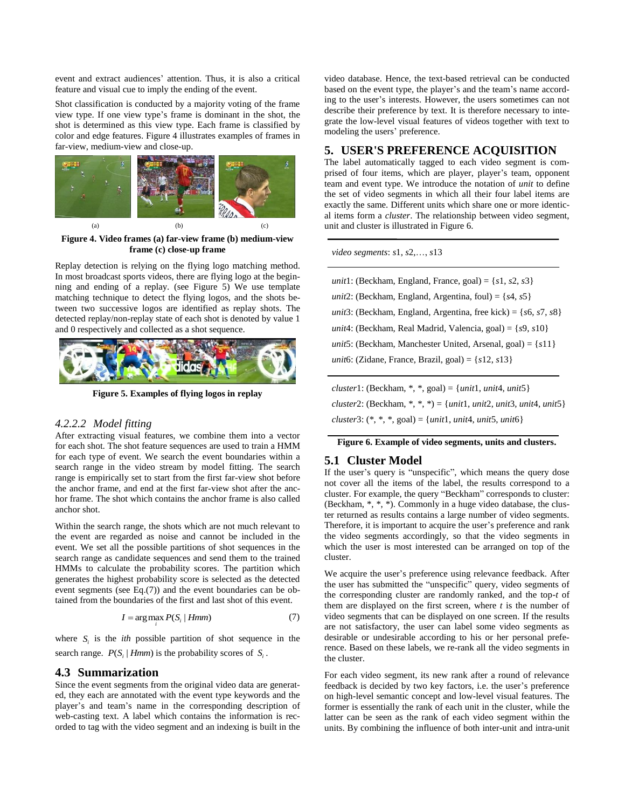event and extract audiences' attention. Thus, it is also a critical feature and visual cue to imply the ending of the event.

Shot classification is conducted by a majority voting of the frame view type. If one view type's frame is dominant in the shot, the shot is determined as this view type. Each frame is classified by color and edge features. Figure 4 illustrates examples of frames in far-view, medium-view and close-up.



**Figure 4. Video frames (a) far-view frame (b) medium-view frame (c) close-up frame**

Replay detection is relying on the flying logo matching method. In most broadcast sports videos, there are flying logo at the beginning and ending of a replay. (see Figure 5) We use template matching technique to detect the flying logos, and the shots between two successive logos are identified as replay shots. The detected replay/non-replay state of each shot is denoted by value 1 and 0 respectively and collected as a shot sequence.



**Figure 5. Examples of flying logos in replay**

#### *4.2.2.2 Model fitting*

After extracting visual features, we combine them into a vector for each shot. The shot feature sequences are used to train a HMM for each type of event. We search the event boundaries within a search range in the video stream by model fitting. The search range is empirically set to start from the first far-view shot before the anchor frame, and end at the first far-view shot after the anchor frame. The shot which contains the anchor frame is also called anchor shot.

Within the search range, the shots which are not much relevant to the event are regarded as noise and cannot be included in the event. We set all the possible partitions of shot sequences in the search range as candidate sequences and send them to the trained HMMs to calculate the probability scores. The partition which generates the highest probability score is selected as the detected event segments (see Eq.(7)) and the event boundaries can be obtained from the boundaries of the first and last shot of this event.

$$
I = \arg \max_{i} P(S_i \mid Hmm) \tag{7}
$$

where  $S_i$  is the *ith* possible partition of shot sequence in the search range.  $P(S_i | Hmm)$  is the probability scores of  $S_i$ .

#### **4.3 Summarization**

Since the event segments from the original video data are generated, they each are annotated with the event type keywords and the player's and team's name in the corresponding description of web-casting text. A label which contains the information is recorded to tag with the video segment and an indexing is built in the video database. Hence, the text-based retrieval can be conducted based on the event type, the player's and the team's name according to the user's interests. However, the users sometimes can not describe their preference by text. It is therefore necessary to integrate the low-level visual features of videos together with text to modeling the users' preference.

# **5. USER'S PREFERENCE ACQUISITION**

The label automatically tagged to each video segment is comprised of four items, which are player, player's team, opponent team and event type. We introduce the notation of *unit* to define the set of video segments in which all their four label items are exactly the same. Different units which share one or more identical items form a *cluster*. The relationship between video segment, unit and cluster is illustrated in Figure 6.

*video segments*: *s*1, *s*2,…, *s*13

| <i>unit</i> 1: (Beckham, England, France, goal) = $\{s1, s2, s3\}$         |
|----------------------------------------------------------------------------|
| <i>unit</i> 2: (Beckham, England, Argentina, foul) = $\{s4, s5\}$          |
| <i>unit</i> 3: (Beckham, England, Argentina, free kick) = { $s6, s7, s8$ } |
| <i>unit</i> 4: (Beckham, Real Madrid, Valencia, goal) = $\{s9, s10\}$      |
| <i>unit</i> 5: (Beckham, Manchester United, Arsenal, goal) = $\{s11\}$     |
| <i>unit</i> 6: (Zidane, France, Brazil, goal) = $\{s12, s13\}$             |
|                                                                            |

*cluster*1: (Beckham, \*, \*, goal) = {*unit*1, *unit*4, *unit*5} *cluster*2: (Beckham, \*, \*, \*) = {*unit*1, *unit*2, *unit*3, *unit*4, *unit*5} *cluster*3: (\*, \*, \*, goal) = {*unit*1, *unit*4, *unit*5, *unit*6}

**Figure 6. Example of video segments, units and clusters.**

### **5.1 Cluster Model**

If the user's query is "unspecific", which means the query dose not cover all the items of the label, the results correspond to a cluster. For example, the query "Beckham" corresponds to cluster: (Beckham, \*, \*, \*). Commonly in a huge video database, the cluster returned as results contains a large number of video segments. Therefore, it is important to acquire the user's preference and rank the video segments accordingly, so that the video segments in which the user is most interested can be arranged on top of the cluster.

We acquire the user's preference using relevance feedback. After the user has submitted the "unspecific" query, video segments of the corresponding cluster are randomly ranked, and the top-*t* of them are displayed on the first screen, where *t* is the number of video segments that can be displayed on one screen. If the results are not satisfactory, the user can label some video segments as desirable or undesirable according to his or her personal preference. Based on these labels, we re-rank all the video segments in the cluster.

For each video segment, its new rank after a round of relevance feedback is decided by two key factors, i.e. the user's preference on high-level semantic concept and low-level visual features. The former is essentially the rank of each unit in the cluster, while the latter can be seen as the rank of each video segment within the units. By combining the influence of both inter-unit and intra-unit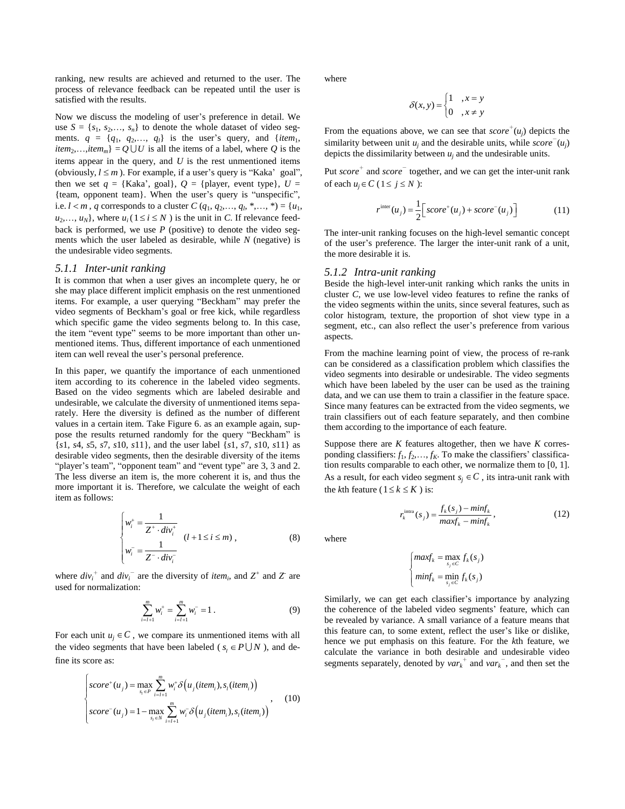ranking, new results are achieved and returned to the user. The process of relevance feedback can be repeated until the user is satisfied with the results.

Now we discuss the modeling of user's preference in detail. We use  $S = \{s_1, s_2, \ldots, s_n\}$  to denote the whole dataset of video segments.  $q = \{q_1, q_2,..., q_l\}$  is the user's query, and  $\{item_1,$ *item*<sub>2</sub>,...,*item<sub>m</sub>*} =  $Q \cup U$  is all the items of a label, where *Q* is the items appear in the query, and *U* is the rest unmentioned items (obviously,  $l \leq m$ ). For example, if a user's query is "Kaka" goal", then we set  $q = \{Kaka^2, goal\}, Q = \{player, event type\}, U =$ {team, opponent team}. When the user's query is "unspecific", i.e.  $l < m$ , *q* corresponds to a cluster *C* ( $q_1, q_2,..., q_l, *,..., *$ ) = { $u_1,$  $u_2, \ldots, u_N$ , where  $u_i$  ( $1 \le i \le N$ ) is the unit in *C*. If relevance feedback is performed, we use  $P$  (positive) to denote the video segments which the user labeled as desirable, while *N* (negative) is the undesirable video segments.

#### *5.1.1 Inter-unit ranking*

It is common that when a user gives an incomplete query, he or she may place different implicit emphasis on the rest unmentioned items. For example, a user querying "Beckham" may prefer the video segments of Beckham's goal or free kick, while regardless which specific game the video segments belong to. In this case, the item "event type" seems to be more important than other unmentioned items. Thus, different importance of each unmentioned item can well reveal the user's personal preference.

In this paper, we quantify the importance of each unmentioned item according to its coherence in the labeled video segments. Based on the video segments which are labeled desirable and undesirable, we calculate the diversity of unmentioned items separately. Here the diversity is defined as the number of different values in a certain item. Take Figure 6. as an example again, suppose the results returned randomly for the query "Beckham" is {*s*1, *s*4, *s*5, *s*7, *s*10, *s*11}, and the user label {*s*1, *s*7, *s*10, *s*11} as desirable video segments, then the desirable diversity of the items "player's team", "opponent team" and "event type" are 3, 3 and 2. The less diverse an item is, the more coherent it is, and thus the more important it is. Therefore, we calculate the weight of each item as follows:

$$
\begin{cases}\nw_i^+ = \frac{1}{Z^+ \cdot div_i^+} \\
w_i^- = \frac{1}{Z^- \cdot div_i^-}\n\end{cases} \quad (l+1 \le i \le m),
$$
\n(8)

where  $div_i^+$  and  $div_i^-$  are the diversity of *item<sub>i</sub>*, and  $Z^+$  and  $Z^-$  are used for normalization:

$$
\sum_{i=l+1}^{m} w_i^+ = \sum_{i=l+1}^{m} w_i^- = 1.
$$
 (9)

For each unit  $u_j \in C$ , we compare its unmentioned items with all the video segments that have been labeled ( $s_i \in P \cup N$ ), and define its score as:

$$
\begin{cases}\nscore^+(u_j) = \max_{s_i \in P} \sum_{i=l+1}^m w_i^+ \delta\left(u_j(item_i), s_i(item_i)\right) \\
score^-(u_j) = 1 - \max_{s_i \in N} \sum_{i=l+1}^m w_i^- \delta\left(u_j(item_i), s_i(item_i)\right),\n\end{cases} (10)
$$

where

$$
\delta(x, y) = \begin{cases} 1 & , x = y \\ 0 & , x \neq y \end{cases}
$$

From the equations above, we can see that  $score^+(u_j)$  depicts the similarity between unit  $u_j$  and the desirable units, while *score*  $(u_j)$ depicts the dissimilarity between *u<sup>j</sup>* and the undesirable units.

Put *score*<sup>+</sup> and *score*<sup>-</sup> together, and we can get the inter-unit rank of each  $u_j \in C$  ( $1 \le j \le N$ ):

$$
r^{\text{inter}}(u_j) = \frac{1}{2} \Big[ score^+(u_j) + score^-(u_j) \Big] \tag{11}
$$

The inter-unit ranking focuses on the high-level semantic concept of the user's preference. The larger the inter-unit rank of a unit, the more desirable it is.

### *5.1.2 Intra-unit ranking*

Beside the high-level inter-unit ranking which ranks the units in cluster *C*, we use low-level video features to refine the ranks of the video segments within the units, since several features, such as color histogram, texture, the proportion of shot view type in a segment, etc., can also reflect the user's preference from various aspects.

From the machine learning point of view, the process of re-rank can be considered as a classification problem which classifies the video segments into desirable or undesirable. The video segments which have been labeled by the user can be used as the training data, and we can use them to train a classifier in the feature space. Since many features can be extracted from the video segments, we train classifiers out of each feature separately, and then combine them according to the importance of each feature.

Suppose there are  $K$  features altogether, then we have  $K$  corresponding classifiers:  $f_1, f_2, \ldots, f_K$ . To make the classifiers' classification results comparable to each other, we normalize them to [0, 1]. As a result, for each video segment  $s_j \in C$ , its intra-unit rank with the *k*th feature ( $1 \le k \le K$ ) is:

$$
r_k^{\text{intra}}(s_j) = \frac{f_k(s_j) - \min f_k}{\max f_k - \min f_k},
$$
\n(12)

where

$$
\begin{cases} \max f_k = \max_{s_j \in C} f_k(s_j) \\ \min f_k = \min_{s_j \in C} f_k(s_j) \end{cases}
$$

Similarly, we can get each classifier's importance by analyzing the coherence of the labeled video segments' feature, which can be revealed by variance. A small variance of a feature means that this feature can, to some extent, reflect the user's like or dislike, hence we put emphasis on this feature. For the *k*th feature, we calculate the variance in both desirable and undesirable video segments separately, denoted by  $var_k^+$  and  $var_k^-$ , and then set the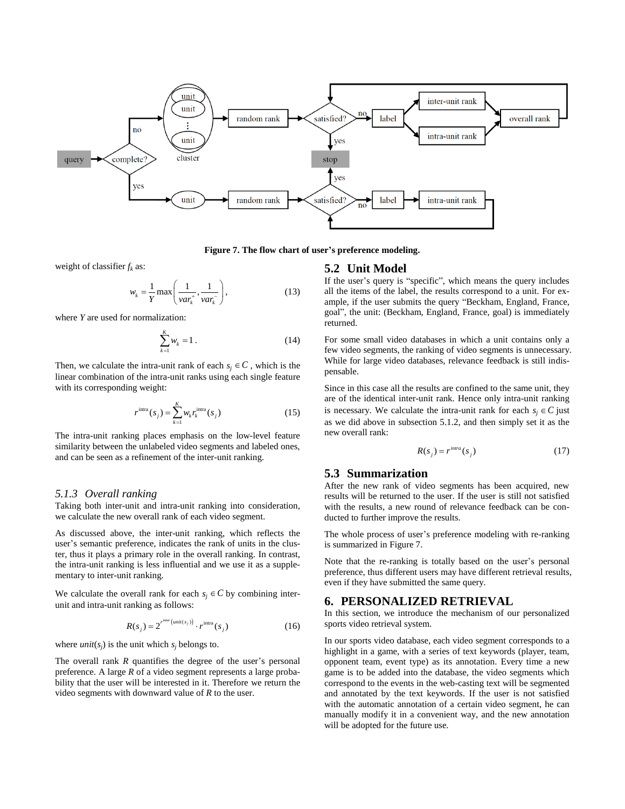

**Figure 7. The flow chart of user's preference modeling.**

weight of classifier *f<sup>k</sup>* as:

$$
w_k = \frac{1}{Y} \max\left(\frac{1}{var_k^*, \frac{1}{var_k^-}}\right),\tag{13}
$$

where *Y* are used for normalization:

$$
\sum_{k=1}^{K} w_k = 1.
$$
 (14)

Then, we calculate the intra-unit rank of each  $s_j \in C$ , which is the linear combination of the intra-unit ranks using each single feature with its corresponding weight:

$$
r^{\text{intra}}(s_j) = \sum_{k=1}^{K} w_k r_k^{\text{intra}}(s_j)
$$
\n(15)

The intra-unit ranking places emphasis on the low-level feature similarity between the unlabeled video segments and labeled ones, and can be seen as a refinement of the inter-unit ranking.

#### *5.1.3 Overall ranking*

Taking both inter-unit and intra-unit ranking into consideration, we calculate the new overall rank of each video segment.

As discussed above, the inter-unit ranking, which reflects the user's semantic preference, indicates the rank of units in the cluster, thus it plays a primary role in the overall ranking. In contrast, the intra-unit ranking is less influential and we use it as a supplementary to inter-unit ranking.

We calculate the overall rank for each  $s_j \in C$  by combining interunit and intra-unit ranking as follows:

$$
R(s_j) = 2^{r^{\text{inter}}\left(\text{unit}(s_j)\right)} \cdot r^{\text{intra}}(s_j)
$$
\n(16)

where *unit*( $s_j$ ) is the unit which  $s_j$  belongs to.

The overall rank *R* quantifies the degree of the user's personal preference. A large *R* of a video segment represents a large probability that the user will be interested in it. Therefore we return the video segments with downward value of *R* to the user.

#### **5.2 Unit Model**

If the user's query is "specific", which means the query includes all the items of the label, the results correspond to a unit. For example, if the user submits the query "Beckham, England, France, goal", the unit: (Beckham, England, France, goal) is immediately returned.

For some small video databases in which a unit contains only a few video segments, the ranking of video segments is unnecessary. While for large video databases, relevance feedback is still indispensable.

Since in this case all the results are confined to the same unit, they are of the identical inter-unit rank. Hence only intra-unit ranking is necessary. We calculate the intra-unit rank for each  $s_j \in C$  just as we did above in subsection 5.1.2, and then simply set it as the new overall rank:

$$
R(s_j) = r^{intra}(s_j)
$$
 (17)

## **5.3 Summarization**

After the new rank of video segments has been acquired, new results will be returned to the user. If the user is still not satisfied with the results, a new round of relevance feedback can be conducted to further improve the results.

The whole process of user's preference modeling with re-ranking is summarized in Figure 7.

Note that the re-ranking is totally based on the user's personal preference, thus different users may have different retrieval results, even if they have submitted the same query.

# **6. PERSONALIZED RETRIEVAL**

In this section, we introduce the mechanism of our personalized sports video retrieval system.

In our sports video database, each video segment corresponds to a highlight in a game, with a series of text keywords (player, team, opponent team, event type) as its annotation. Every time a new game is to be added into the database, the video segments which correspond to the events in the web-casting text will be segmented and annotated by the text keywords. If the user is not satisfied with the automatic annotation of a certain video segment, he can manually modify it in a convenient way, and the new annotation will be adopted for the future use.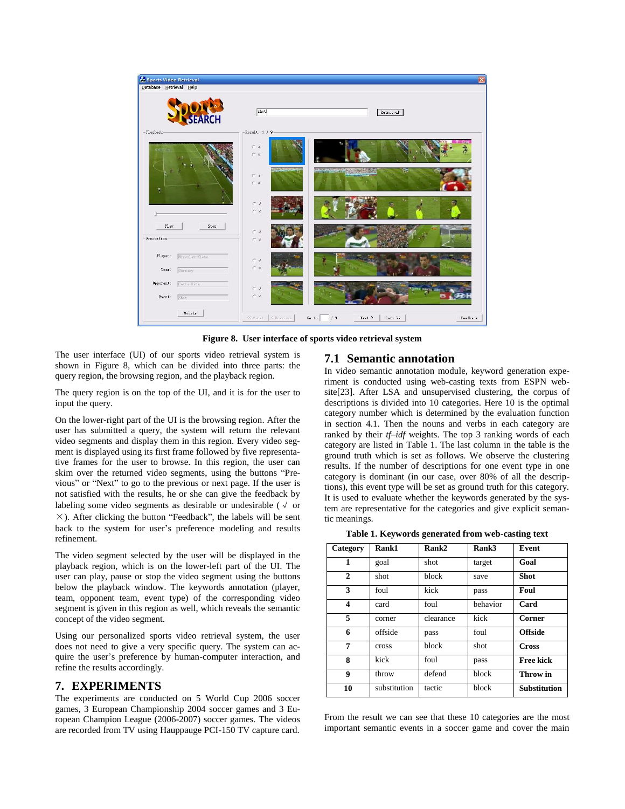

**Figure 8. User interface of sports video retrieval system**

The user interface (UI) of our sports video retrieval system is shown in Figure 8, which can be divided into three parts: the query region, the browsing region, and the playback region.

The query region is on the top of the UI, and it is for the user to input the query.

On the lower-right part of the UI is the browsing region. After the user has submitted a query, the system will return the relevant video segments and display them in this region. Every video segment is displayed using its first frame followed by five representative frames for the user to browse. In this region, the user can skim over the returned video segments, using the buttons "Previous" or "Next" to go to the previous or next page. If the user is not satisfied with the results, he or she can give the feedback by labeling some video segments as desirable or undesirable ( $\sqrt{ }$  or  $\times$ ). After clicking the button "Feedback", the labels will be sent back to the system for user's preference modeling and results refinement.

The video segment selected by the user will be displayed in the playback region, which is on the lower-left part of the UI. The user can play, pause or stop the video segment using the buttons below the playback window. The keywords annotation (player, team, opponent team, event type) of the corresponding video segment is given in this region as well, which reveals the semantic concept of the video segment.

Using our personalized sports video retrieval system, the user does not need to give a very specific query. The system can acquire the user's preference by human-computer interaction, and refine the results accordingly.

# **7. EXPERIMENTS**

The experiments are conducted on 5 World Cup 2006 soccer games, 3 European Championship 2004 soccer games and 3 European Champion League (2006-2007) soccer games. The videos are recorded from TV using Hauppauge PCI-150 TV capture card.

# **7.1 Semantic annotation**

In video semantic annotation module, keyword generation experiment is conducted using web-casting texts from ESPN website[23]. After LSA and unsupervised clustering, the corpus of descriptions is divided into 10 categories. Here 10 is the optimal category number which is determined by the evaluation function in section 4.1. Then the nouns and verbs in each category are ranked by their *tf–idf* weights. The top 3 ranking words of each category are listed in Table 1. The last column in the table is the ground truth which is set as follows. We observe the clustering results. If the number of descriptions for one event type in one category is dominant (in our case, over 80% of all the descriptions), this event type will be set as ground truth for this category. It is used to evaluate whether the keywords generated by the system are representative for the categories and give explicit semantic meanings.

**Table 1. Keywords generated from web-casting text**

| Category     | Rank1        | Rank2     | Rank3    | Event               |
|--------------|--------------|-----------|----------|---------------------|
| 1            | goal         | shot      | target   | Goal                |
| $\mathbf{2}$ | shot         | block     | save     | <b>Shot</b>         |
| 3            | foul         | kick      | pass     | Foul                |
| 4            | card         | foul      | behavior | Card                |
| 5            | corner       | clearance | kick     | Corner              |
| 6            | offside      | pass      | foul     | <b>Offside</b>      |
| 7            | cross        | block     | shot     | <b>Cross</b>        |
| 8            | kick         | foul      | pass     | Free kick           |
| 9            | throw        | defend    | block    | Throw in            |
| 10           | substitution | tactic    | block    | <b>Substitution</b> |

From the result we can see that these 10 categories are the most important semantic events in a soccer game and cover the main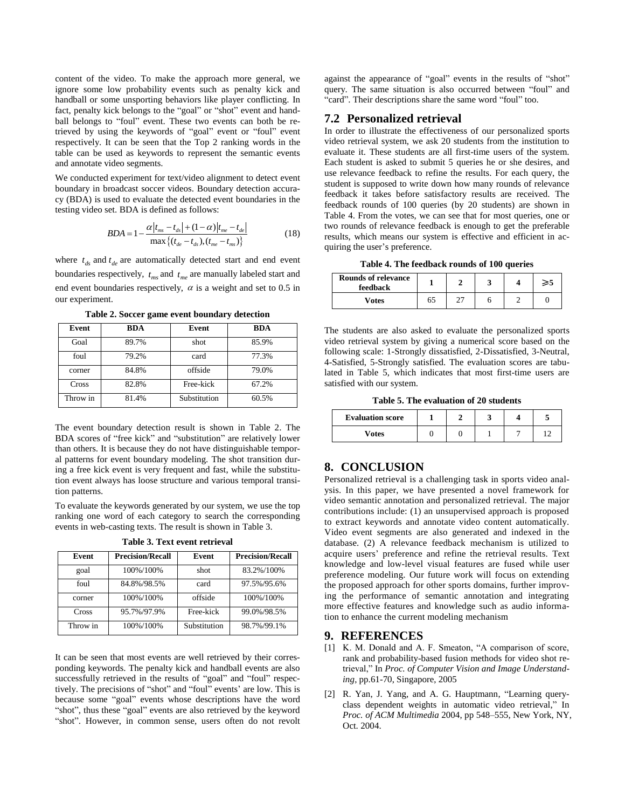content of the video. To make the approach more general, we ignore some low probability events such as penalty kick and handball or some unsporting behaviors like player conflicting. In fact, penalty kick belongs to the "goal" or "shot" event and handball belongs to "foul" event. These two events can both be retrieved by using the keywords of "goal" event or "foul" event respectively. It can be seen that the Top 2 ranking words in the table can be used as keywords to represent the semantic events and annotate video segments.

We conducted experiment for text/video alignment to detect event boundary in broadcast soccer videos. Boundary detection accuracy (BDA) is used to evaluate the detected event boundaries in the testing video set. BDA is defined as follows:

$$
BDA = 1 - \frac{\alpha |t_{ms} - t_{ds}| + (1 - \alpha)|t_{me} - t_{de}|}{\max\{(t_{de} - t_{ds}), (t_{me} - t_{ms})\}}
$$
(18)

where  $t_{ds}$  and  $t_{de}$  are automatically detected start and end event boundaries respectively,  $t_{ms}$  and  $t_{me}$  are manually labeled start and end event boundaries respectively,  $\alpha$  is a weight and set to 0.5 in our experiment.

| Event    | BDA   | Event        | <b>BDA</b> |
|----------|-------|--------------|------------|
| Goal     | 89.7% | shot         | 85.9%      |
| foul     | 79.2% | card         | 77.3%      |
| corner   | 84.8% | offside      | 79.0%      |
| Cross    | 82.8% | Free-kick    | 67.2%      |
| Throw in | 81.4% | Substitution | 60.5%      |

**Table 2. Soccer game event boundary detection**

The event boundary detection result is shown in Table 2. The BDA scores of "free kick" and "substitution" are relatively lower than others. It is because they do not have distinguishable temporal patterns for event boundary modeling. The shot transition during a free kick event is very frequent and fast, while the substitution event always has loose structure and various temporal transition patterns.

To evaluate the keywords generated by our system, we use the top ranking one word of each category to search the corresponding events in web-casting texts. The result is shown in Table 3.

| Event    | <b>Precision/Recall</b> | Event        | <b>Precision/Recall</b> |
|----------|-------------------------|--------------|-------------------------|
| goal     | 100%/100%               | shot         | 83.2%/100%              |
| foul     | 84.8%/98.5%             | card         | 97.5%/95.6%             |
| corner   | 100%/100%               | offside      | 100%/100%               |
| Cross    | 95.7%/97.9%             | Free-kick    | 99.0%/98.5%             |
| Throw in | 100%/100%               | Substitution | 98.7%/99.1%             |

**Table 3. Text event retrieval**

It can be seen that most events are well retrieved by their corresponding keywords. The penalty kick and handball events are also successfully retrieved in the results of "goal" and "foul" respectively. The precisions of "shot" and "foul" events' are low. This is because some "goal" events whose descriptions have the word "shot", thus these "goal" events are also retrieved by the keyword "shot". However, in common sense, users often do not revolt

against the appearance of "goal" events in the results of "shot" query. The same situation is also occurred between "foul" and "card". Their descriptions share the same word "foul" too.

# **7.2 Personalized retrieval**

In order to illustrate the effectiveness of our personalized sports video retrieval system, we ask 20 students from the institution to evaluate it. These students are all first-time users of the system. Each student is asked to submit 5 queries he or she desires, and use relevance feedback to refine the results. For each query, the student is supposed to write down how many rounds of relevance feedback it takes before satisfactory results are received. The feedback rounds of 100 queries (by 20 students) are shown in Table 4. From the votes, we can see that for most queries, one or two rounds of relevance feedback is enough to get the preferable results, which means our system is effective and efficient in acquiring the user's preference.

**Table 4. The feedback rounds of 100 queries**

| <b>Rounds of relevance</b><br>feedback |    |  | ≥5 |
|----------------------------------------|----|--|----|
| <b>Votes</b>                           | 65 |  |    |

The students are also asked to evaluate the personalized sports video retrieval system by giving a numerical score based on the following scale: 1-Strongly dissatisfied, 2-Dissatisfied, 3-Neutral, 4-Satisfied, 5-Strongly satisfied. The evaluation scores are tabulated in Table 5, which indicates that most first-time users are satisfied with our system.

**Table 5. The evaluation of 20 students**

| <b>Evaluation score</b> |  |  |  |
|-------------------------|--|--|--|
| Votes                   |  |  |  |

# **8. CONCLUSION**

Personalized retrieval is a challenging task in sports video analysis. In this paper, we have presented a novel framework for video semantic annotation and personalized retrieval. The major contributions include: (1) an unsupervised approach is proposed to extract keywords and annotate video content automatically. Video event segments are also generated and indexed in the database. (2) A relevance feedback mechanism is utilized to acquire users' preference and refine the retrieval results. Text knowledge and low-level visual features are fused while user preference modeling. Our future work will focus on extending the proposed approach for other sports domains, further improving the performance of semantic annotation and integrating more effective features and knowledge such as audio information to enhance the current modeling mechanism

### **9. REFERENCES**

- [1] K. M. Donald and A. F. Smeaton, "A comparison of score, rank and probability-based fusion methods for video shot retrieval," In *Proc. of Computer Vision and Image Understanding*, pp.61-70, Singapore, 2005
- [2] R. Yan, J. Yang, and A. G. Hauptmann, "Learning queryclass dependent weights in automatic video retrieval," In *Proc. of ACM Multimedia* 2004, pp 548–555, New York, NY, Oct. 2004.